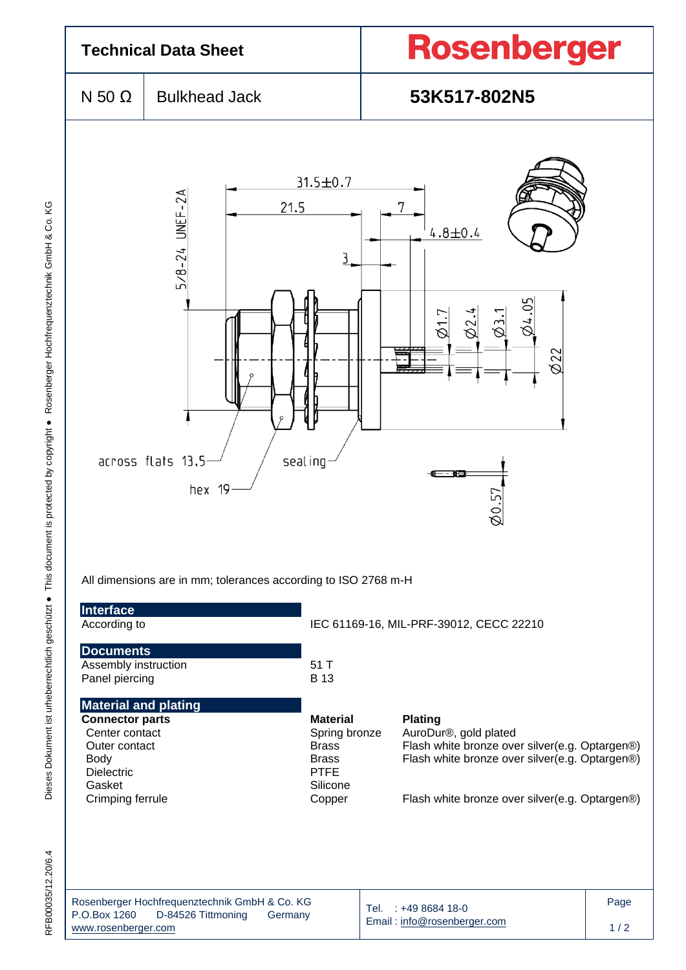